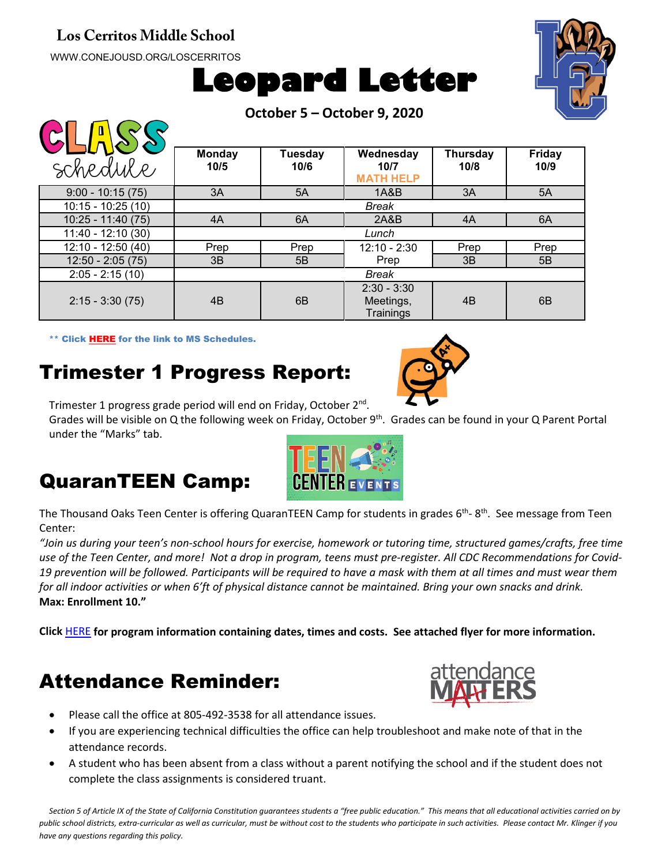#### **Los Cerritos Middle School**

WWW.CONEJOUSD.ORG/LOSCERRITOS

 $\bigcap \bigcap \bigcap \bigcap \bigcap \bigcap \bigcap$ 





|  |  | October 5 - October 9, 2020 |  |  |
|--|--|-----------------------------|--|--|
|--|--|-----------------------------|--|--|

| $\blacksquare$<br>schedule | <b>Monday</b><br>10/5 | <b>Tuesday</b><br>10/6 | Wednesday<br>10/7<br><b>MATH HELP</b>   | <b>Thursday</b><br>10/8 | <b>Friday</b><br>10/9 |  |  |  |
|----------------------------|-----------------------|------------------------|-----------------------------------------|-------------------------|-----------------------|--|--|--|
| $9:00 - 10:15(75)$         | 3A                    | 5A                     | 1A&B                                    | 3A                      | 5A                    |  |  |  |
| $10:15 - 10:25(10)$        | <b>Break</b>          |                        |                                         |                         |                       |  |  |  |
| $10:25 - 11:40(75)$        | 4A                    | 6A                     | 2A&B                                    | 4A                      | 6A                    |  |  |  |
| $11:40 - 12:10(30)$        | Lunch                 |                        |                                         |                         |                       |  |  |  |
| 12:10 - 12:50 (40)         | Prep                  | Prep                   | $12:10 - 2:30$                          | Prep                    | Prep                  |  |  |  |
| $12:50 - 2:05(75)$         | 3B                    | 5B                     | Prep                                    | 3B                      | 5B                    |  |  |  |
| $2:05 - 2:15(10)$          | Break                 |                        |                                         |                         |                       |  |  |  |
| $2:15 - 3:30(75)$          | 4B                    | 6B                     | $2:30 - 3:30$<br>Meetings,<br>Trainings | 4B                      | 6B                    |  |  |  |

\*\* Click [HERE](https://www.conejousd.org/Portals/41/2020-2021/Middle%20School%20Remote%20Calendar_fnl.pdf?ver=2020-08-25-121556-487) for the link to MS Schedules.

# Trimester 1 Progress Report:

Trimester 1 progress grade period will end on Friday, October 2<sup>nd</sup>.

Grades will be visible on Q the following week on Friday, October 9<sup>th</sup>. Grades can be found in your Q Parent Portal under the "Marks" tab.

## QuaranTEEN Camp:



The Thousand Oaks Teen Center is offering QuaranTEEN Camp for students in grades  $6<sup>th</sup>$ -  $8<sup>th</sup>$ . See message from Teen Center:

*"Join us during your teen's non-school hours for exercise, homework or tutoring time, structured games/crafts, free time use of the Teen Center, and more! Not a drop in program, teens must pre-register. All CDC Recommendations for Covid-19 prevention will be followed. Participants will be required to have a mask with them at all times and must wear them for all indoor activities or when 6'ft of physical distance cannot be maintained. Bring your own snacks and drink.*  **Max: Enrollment 10."**

**Click** [HERE](https://www.thousandoaksteencenter.com/programs) **for program information containing dates, times and costs. See attached flyer for more information.**

# Attendance Reminder:



- Please call the office at 805-492-3538 for all attendance issues.
- If you are experiencing technical difficulties the office can help troubleshoot and make note of that in the attendance records.
- A student who has been absent from a class without a parent notifying the school and if the student does not complete the class assignments is considered truant.

*Section 5 of Article IX of the State of California Constitution guarantees students a "free public education." This means that all educational activities carried on by public school districts, extra-curricular as well as curricular, must be without cost to the students who participate in such activities. Please contact Mr. Klinger if you have any questions regarding this policy.*